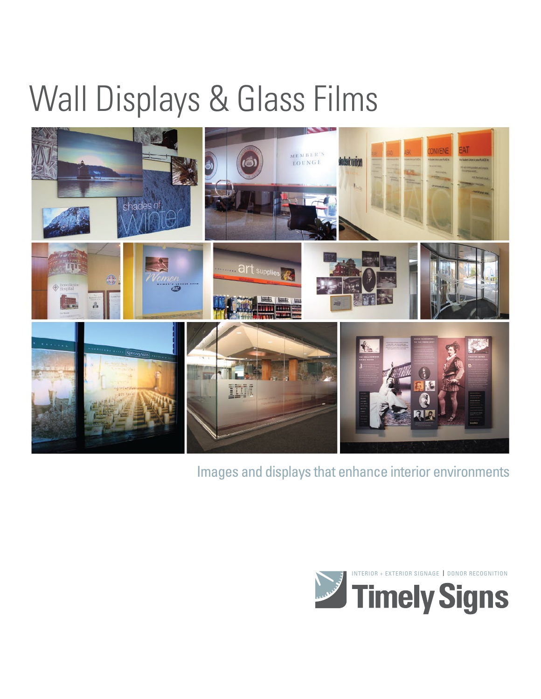## Wall Displays & Glass Films



Images and displays that enhance interior environments

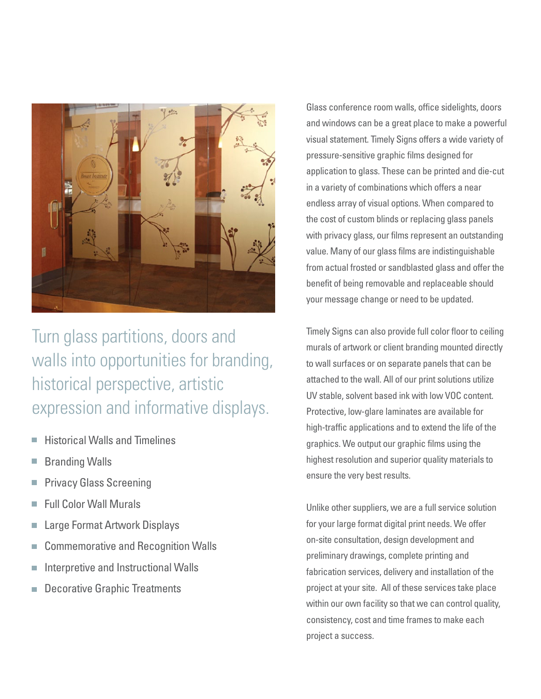

Turn glass partitions, doors and walls into opportunities for branding, historical perspective, artistic expression and informative displays.

- Historical Walls and Timelines
- Branding Walls
- Privacy Glass Screening
- Full Color Wall Murals
- Large Format Artwork Displays H
- Commemorative and Recognition Walls m.
- Interpretive and Instructional Walls  $\overline{\phantom{a}}$
- Decorative Graphic Treatmentsm.

Glass conference room walls, office sidelights, doors and windows can be a great place to make a powerful visual statement. Timely Signs offers a wide variety of pressure-sensitive graphic films designed for application to glass. These can be printed and die-cut in a variety of combinations which offers a near endless array of visual options. When compared to the cost of custom blinds or replacing glass panels with privacy glass, our films represent an outstanding value. Many of our glass films are indistinguishable from actual frosted or sandblasted glass and offer the benefit of being removable and replaceable should your message change or need to be updated.

Timely Signs can also provide full color floor to ceiling murals of artwork or client branding mounted directly to wall surfaces or on separate panels that can be attached to the wall. All of our print solutions utilize UV stable, solvent based ink with low VOC content. Protective, low-glare laminates are available for high-traffic applications and to extend the life of the graphics. We output our graphic films using the highest resolution and superior quality materials to ensure the very best results.

Unlike other suppliers, we are a full service solution for your large format digital print needs. We offer on-site consultation, design development and preliminary drawings, complete printing and fabrication services, delivery and installation of the project at your site. All of these services take place within our own facility so that we can control quality, consistency, cost and time frames to make each project a success.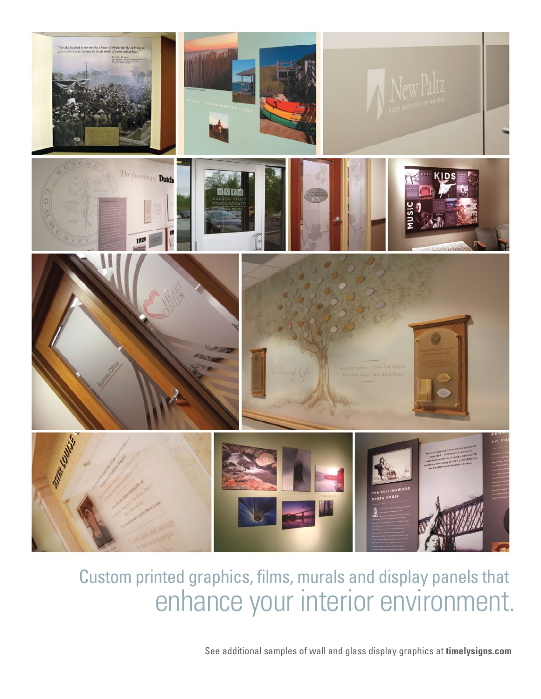

## Custom printed graphics, films, murals and display panels that enhance your interior environment.

See additional samples of wall and glass display graphics at **timelysigns.com**